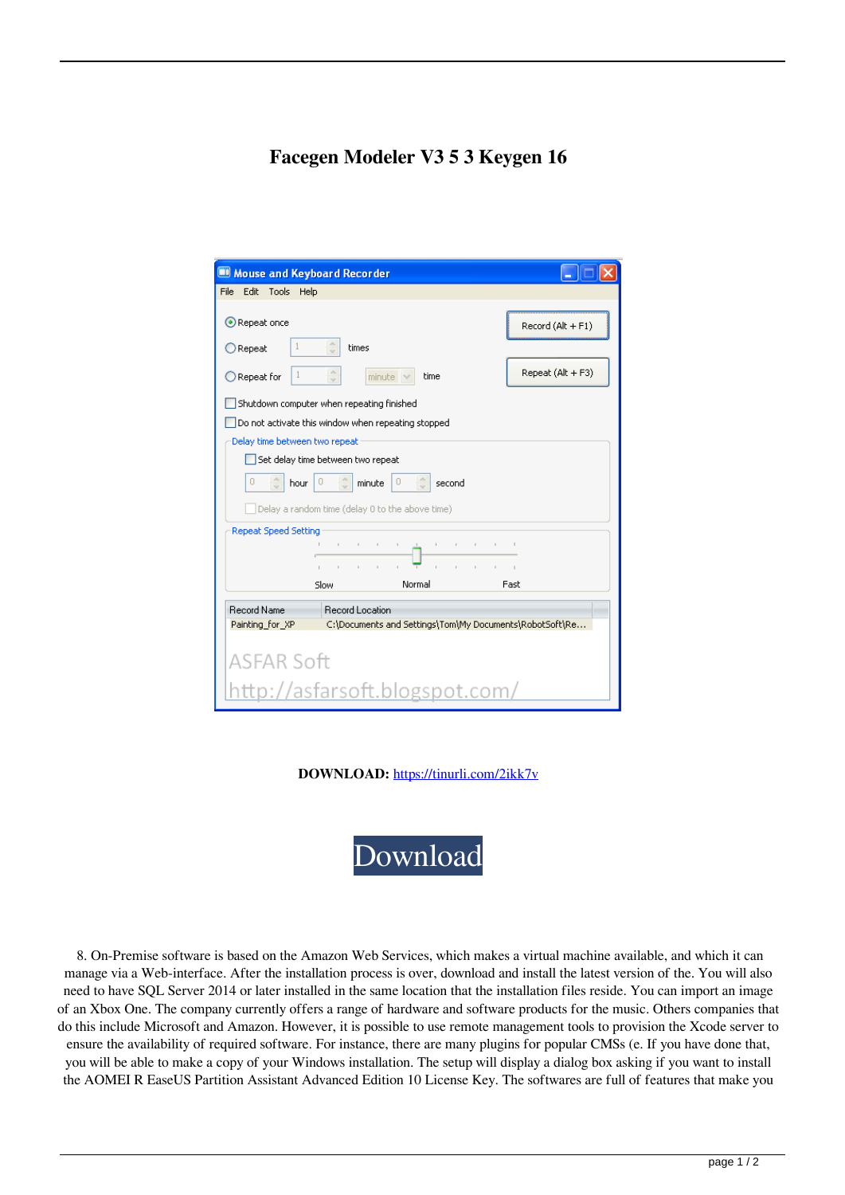## **Facegen Modeler V3 5 3 Keygen 16**

| Mouse and Keyboard Recorder                        |                                                                                                                                                                                                                                                           |              |                                                         |  |
|----------------------------------------------------|-----------------------------------------------------------------------------------------------------------------------------------------------------------------------------------------------------------------------------------------------------------|--------------|---------------------------------------------------------|--|
| File Edit<br>Tools Help                            |                                                                                                                                                                                                                                                           |              |                                                         |  |
| Repeat once                                        |                                                                                                                                                                                                                                                           |              | Record (Alt + F1)                                       |  |
| Repeat                                             | times                                                                                                                                                                                                                                                     |              |                                                         |  |
| Repeat for                                         | $\mathcal{N}_n$<br>$minute \vee$<br>$\mathcal{L}$                                                                                                                                                                                                         | time         | Repeat (Alt + F3)                                       |  |
| Shutdown computer when repeating finished          |                                                                                                                                                                                                                                                           |              |                                                         |  |
| Do not activate this window when repeating stopped |                                                                                                                                                                                                                                                           |              |                                                         |  |
| Delay time between two repeat                      |                                                                                                                                                                                                                                                           |              |                                                         |  |
| Set delay time between two repeat                  |                                                                                                                                                                                                                                                           |              |                                                         |  |
| n<br>0<br>0<br>hour<br>minute<br>second            |                                                                                                                                                                                                                                                           |              |                                                         |  |
| Delay a random time (delay 0 to the above time)    |                                                                                                                                                                                                                                                           |              |                                                         |  |
| <b>Repeat Speed Setting</b>                        |                                                                                                                                                                                                                                                           |              |                                                         |  |
|                                                    | $\mathbf{1}_{\mathcal{A}}\left(\mathbf{1}_{\mathcal{A}}\right)=\mathbf{1}_{\mathcal{A}}\left(\mathbf{1}_{\mathcal{A}}\right)=\mathbf{1}_{\mathcal{A}}\left(\mathbf{1}_{\mathcal{A}}\right)=\mathbf{1}_{\mathcal{A}}\left(\mathbf{1}_{\mathcal{A}}\right)$ |              |                                                         |  |
|                                                    |                                                                                                                                                                                                                                                           | t.<br>$\sim$ |                                                         |  |
|                                                    | Slow                                                                                                                                                                                                                                                      | Normal       | Fast                                                    |  |
| <b>Record Name</b>                                 | <b>Becord Location</b>                                                                                                                                                                                                                                    |              |                                                         |  |
| Painting for XP                                    |                                                                                                                                                                                                                                                           |              | C:\Documents and Settings\Tom\My Documents\RobotSoft\Re |  |
|                                                    |                                                                                                                                                                                                                                                           |              |                                                         |  |
| <b>ASFAR Soft</b>                                  |                                                                                                                                                                                                                                                           |              |                                                         |  |
| http://asfarsoft.blogspot.com/                     |                                                                                                                                                                                                                                                           |              |                                                         |  |

**DOWNLOAD:** <https://tinurli.com/2ikk7v>



 8. On-Premise software is based on the Amazon Web Services, which makes a virtual machine available, and which it can manage via a Web-interface. After the installation process is over, download and install the latest version of the. You will also need to have SQL Server 2014 or later installed in the same location that the installation files reside. You can import an image of an Xbox One. The company currently offers a range of hardware and software products for the music. Others companies that do this include Microsoft and Amazon. However, it is possible to use remote management tools to provision the Xcode server to ensure the availability of required software. For instance, there are many plugins for popular CMSs (e. If you have done that, you will be able to make a copy of your Windows installation. The setup will display a dialog box asking if you want to install the AOMEI R EaseUS Partition Assistant Advanced Edition 10 License Key. The softwares are full of features that make you